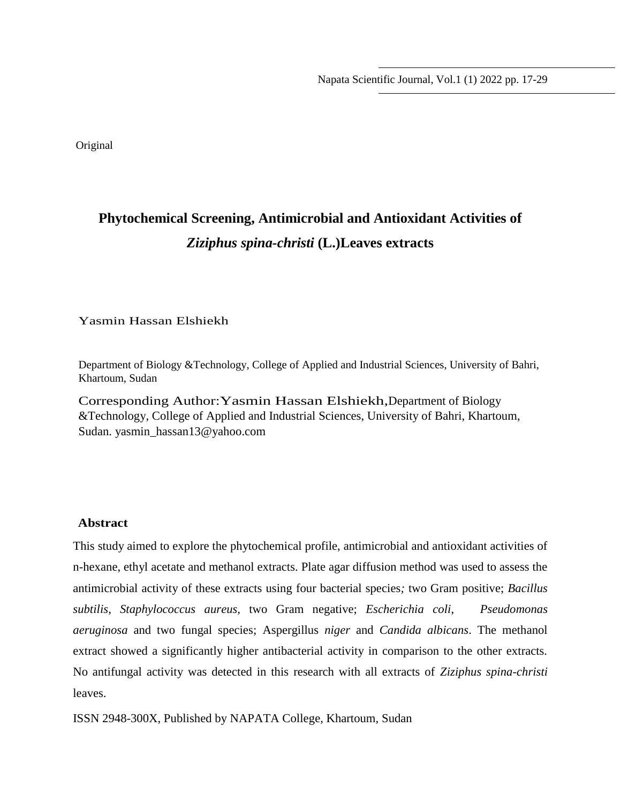Napata Scientific Journal, Vol.1 (1) 2022 pp. 17-29

Original

# **Phytochemical Screening, Antimicrobial and Antioxidant Activities of**  *Ziziphus spina-christi* **(L.)Leaves extracts**

Yasmin Hassan Elshiekh

Department of Biology &Technology, College of Applied and Industrial Sciences, University of Bahri, Khartoum, Sudan

Corresponding Author:Yasmin Hassan Elshiekh,Department of Biology &Technology, College of Applied and Industrial Sciences, University of Bahri, Khartoum, Sudan. yasmin\_hassan13@yahoo.com

#### **Abstract**

This study aimed to explore the phytochemical profile, antimicrobial and antioxidant activities of n-hexane, ethyl acetate and methanol extracts. Plate agar diffusion method was used to assess the antimicrobial activity of these extracts using four bacterial species*;* two Gram positive; *Bacillus subtilis*, *Staphylococcus aureus,* two Gram negative; *Escherichia coli*, *Pseudomonas aeruginosa* and two fungal species; Aspergillus *niger* and *Candida albicans*. The methanol extract showed a significantly higher antibacterial activity in comparison to the other extracts. No antifungal activity was detected in this research with all extracts of *Ziziphus spina-christi* leaves.

ISSN 2948-300X, Published by NAPATA College, Khartoum, Sudan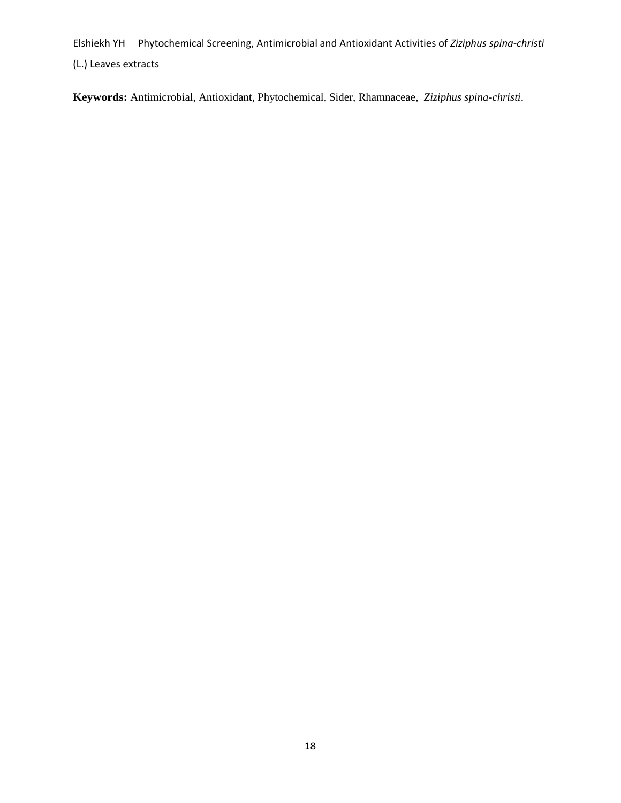**Keywords:** Antimicrobial, Antioxidant, Phytochemical, Sider, Rhamnaceae*, Ziziphus spina-christi*.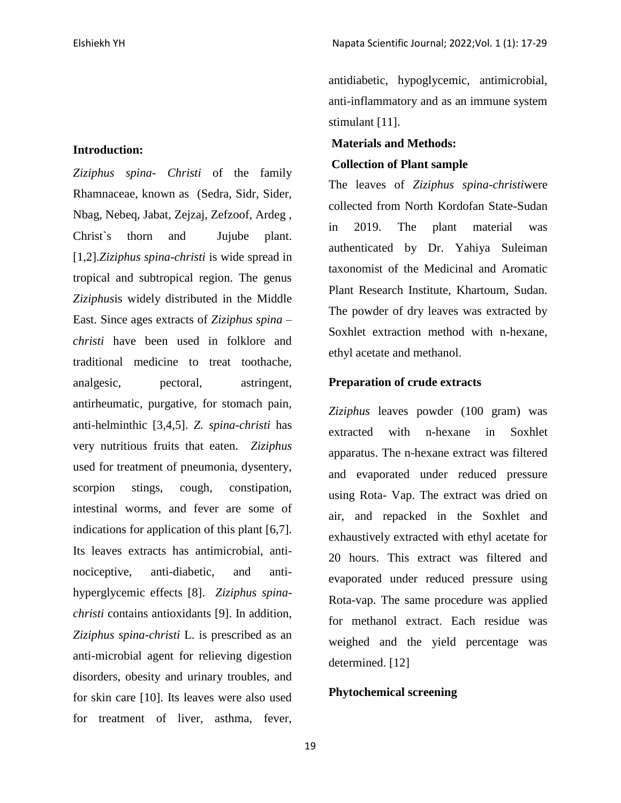#### **Introduction:**

*Ziziphus spina- Christi* of the family Rhamnaceae, known as (Sedra, Sidr, Sider, Nbag, Nebeq, Jabat, Zejzaj, Zefzoof, Ardeg , Christ`s thorn and Jujube plant. [1,2].*Ziziphus spina-christi* is wide spread in tropical and subtropical region. The genus *Ziziphus*is widely distributed in the Middle East. Since ages extracts of *Ziziphus spina – christi* have been used in folklore and traditional medicine to treat toothache, analgesic, pectoral, astringent, antirheumatic, purgative, for stomach pain, anti-helminthic [3,4,5]. *Z. spina-christi* has very nutritious fruits that eaten. *Ziziphus* used for treatment of pneumonia, dysentery, scorpion stings, cough, constipation, intestinal worms, and fever are some of indications for application of this plant [6,7]. Its leaves extracts has antimicrobial, antinociceptive, anti-diabetic, and antihyperglycemic effects [8]. *Ziziphus spinachristi* contains antioxidants [9]. In addition, *Ziziphus spina-christi* L. is prescribed as an anti-microbial agent for relieving digestion disorders, obesity and urinary troubles, and for skin care [10]. Its leaves were also used for treatment of liver, asthma, fever,

antidiabetic, hypoglycemic, antimicrobial, anti-inflammatory and as an immune system stimulant [11].

#### **Materials and Methods:**

#### **Collection of Plant sample**

The leaves of *Ziziphus spina-christi*were collected from North Kordofan State-Sudan in 2019. The plant material was authenticated by Dr. Yahiya Suleiman taxonomist of the Medicinal and Aromatic Plant Research Institute, Khartoum, Sudan. The powder of dry leaves was extracted by Soxhlet extraction method with n-hexane, ethyl acetate and methanol.

#### **Preparation of crude extracts**

*Ziziphus* leaves powder (100 gram) was extracted with n-hexane in Soxhlet apparatus. The n-hexane extract was filtered and evaporated under reduced pressure using Rota- Vap. The extract was dried on air, and repacked in the Soxhlet and exhaustively extracted with ethyl acetate for 20 hours. This extract was filtered and evaporated under reduced pressure using Rota-vap. The same procedure was applied for methanol extract. Each residue was weighed and the yield percentage was determined. [12]

## **Phytochemical screening**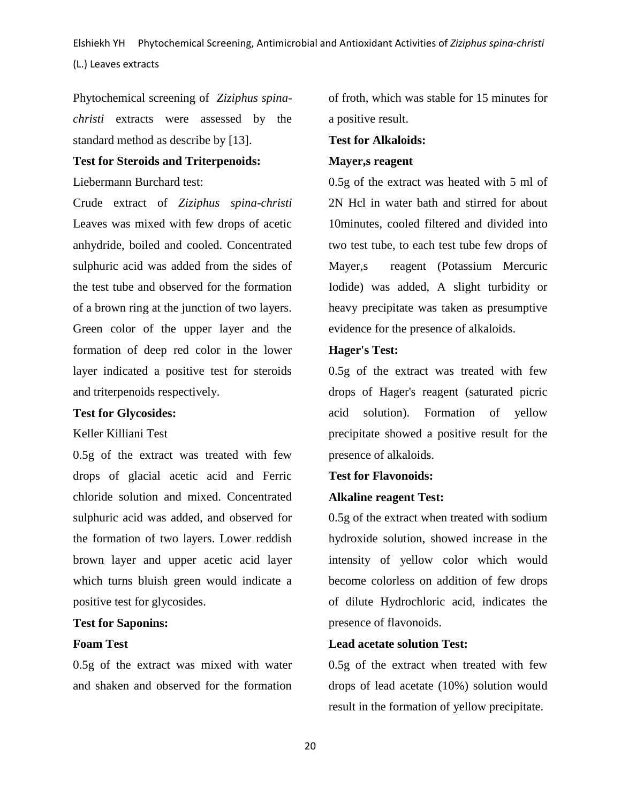Phytochemical screening of *Ziziphus spinachristi* extracts were assessed by the standard method as describe by [13].

#### **Test for Steroids and Triterpenoids:**

Liebermann Burchard test:

Crude extract of *Ziziphus spina-christi* Leaves was mixed with few drops of acetic anhydride, boiled and cooled. Concentrated sulphuric acid was added from the sides of the test tube and observed for the formation of a brown ring at the junction of two layers. Green color of the upper layer and the formation of deep red color in the lower layer indicated a positive test for steroids and triterpenoids respectively.

## **Test for Glycosides:**

#### Keller Killiani Test

0.5g of the extract was treated with few drops of glacial acetic acid and Ferric chloride solution and mixed. Concentrated sulphuric acid was added, and observed for the formation of two layers. Lower reddish brown layer and upper acetic acid layer which turns bluish green would indicate a positive test for glycosides.

#### **Test for Saponins:**

#### **Foam Test**

0.5g of the extract was mixed with water and shaken and observed for the formation of froth, which was stable for 15 minutes for a positive result.

## **Test for Alkaloids:**

## **Mayer,s reagent**

0.5g of the extract was heated with 5 ml of 2N Hcl in water bath and stirred for about 10minutes, cooled filtered and divided into two test tube, to each test tube few drops of Mayer,s reagent (Potassium Mercuric Iodide) was added, A slight turbidity or heavy precipitate was taken as presumptive evidence for the presence of alkaloids.

#### **Hager's Test:**

0.5g of the extract was treated with few drops of Hager's reagent (saturated picric acid solution). Formation of yellow precipitate showed a positive result for the presence of alkaloids.

#### **Test for Flavonoids:**

#### **Alkaline reagent Test:**

0.5g of the extract when treated with sodium hydroxide solution, showed increase in the intensity of yellow color which would become colorless on addition of few drops of dilute Hydrochloric acid, indicates the presence of flavonoids.

## **Lead acetate solution Test:**

0.5g of the extract when treated with few drops of lead acetate (10%) solution would result in the formation of yellow precipitate.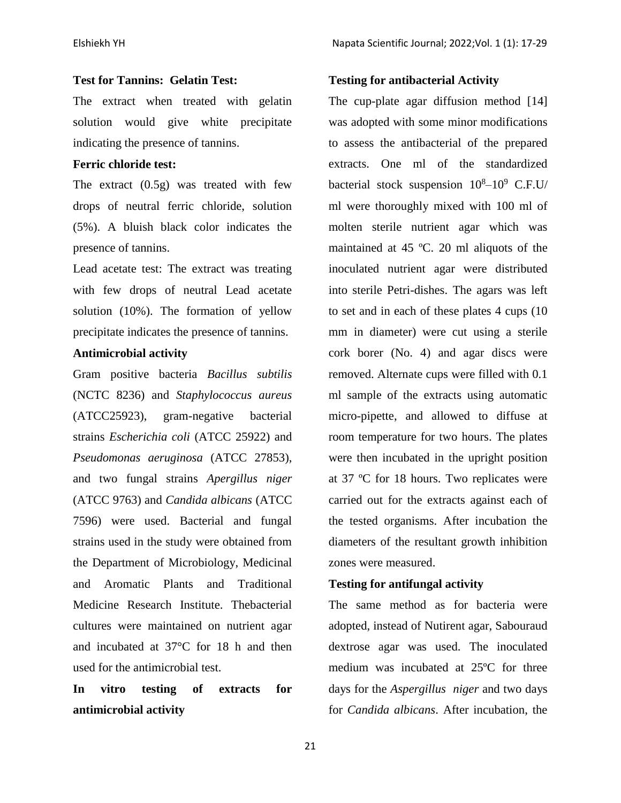## **Test for Tannins: Gelatin Test:**

The extract when treated with gelatin solution would give white precipitate indicating the presence of tannins.

#### **Ferric chloride test:**

The extract (0.5g) was treated with few drops of neutral ferric chloride, solution (5%). A bluish black color indicates the presence of tannins.

Lead acetate test: The extract was treating with few drops of neutral Lead acetate solution (10%). The formation of yellow precipitate indicates the presence of tannins.

# **Antimicrobial activity**

Gram positive bacteria *Bacillus subtilis* (NCTC 8236) and *Staphylococcus aureus* (ATCC25923), gram-negative bacterial strains *Escherichia coli* (ATCC 25922) and *Pseudomonas aeruginosa* (ATCC 27853), and two fungal strains *Apergillus niger* (ATCC 9763) and *Candida albicans* (ATCC 7596) were used. Bacterial and fungal strains used in the study were obtained from the Department of Microbiology, Medicinal and Aromatic Plants and Traditional Medicine Research Institute. Thebacterial cultures were maintained on nutrient agar and incubated at 37°C for 18 h and then used for the antimicrobial test.

# **In vitro testing of extracts for antimicrobial activity**

#### **Testing for antibacterial Activity**

The cup-plate agar diffusion method [14] was adopted with some minor modifications to assess the antibacterial of the prepared extracts. One ml of the standardized bacterial stock suspension  $10^8 - 10^9$  C.F.U/ ml were thoroughly mixed with 100 ml of molten sterile nutrient agar which was maintained at 45 ºC. 20 ml aliquots of the inoculated nutrient agar were distributed into sterile Petri-dishes. The agars was left to set and in each of these plates 4 cups (10 mm in diameter) were cut using a sterile cork borer (No. 4) and agar discs were removed. Alternate cups were filled with 0.1 ml sample of the extracts using automatic micro-pipette, and allowed to diffuse at room temperature for two hours. The plates were then incubated in the upright position at 37 ºC for 18 hours. Two replicates were carried out for the extracts against each of the tested organisms. After incubation the diameters of the resultant growth inhibition zones were measured.

#### **Testing for antifungal activity**

The same method as for bacteria were adopted, instead of Nutirent agar, Sabouraud dextrose agar was used. The inoculated medium was incubated at 25ºC for three days for the *Aspergillus niger* and two days for *Candida albicans*. After incubation, the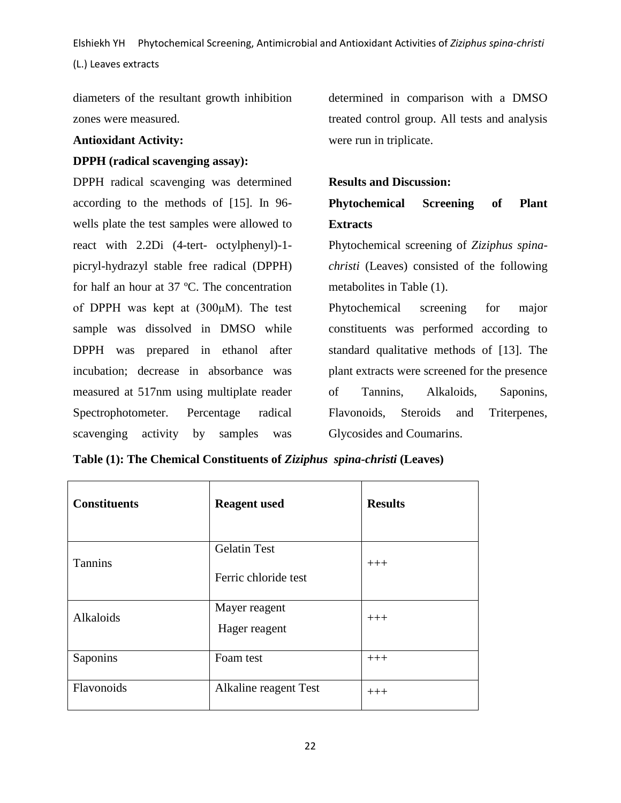diameters of the resultant growth inhibition zones were measured.

### **Antioxidant Activity:**

#### **DPPH (radical scavenging assay):**

DPPH radical scavenging was determined according to the methods of [15]. In 96 wells plate the test samples were allowed to react with 2.2Di (4-tert- octylphenyl)-1 picryl-hydrazyl stable free radical (DPPH) for half an hour at 37 ºC. The concentration of DPPH was kept at (300μM). The test sample was dissolved in DMSO while DPPH was prepared in ethanol after incubation; decrease in absorbance was measured at 517nm using multiplate reader Spectrophotometer. Percentage radical scavenging activity by samples was

determined in comparison with a DMSO treated control group. All tests and analysis were run in triplicate.

#### **Results and Discussion:**

**Phytochemical Screening of Plant Extracts**

Phytochemical screening of *Ziziphus spinachristi* (Leaves) consisted of the following metabolites in Table (1).

Phytochemical screening for major constituents was performed according to standard qualitative methods of [13]. The plant extracts were screened for the presence of Tannins, Alkaloids, Saponins, Flavonoids, Steroids and Triterpenes, Glycosides and Coumarins.

| <b>Constituents</b> | <b>Reagent</b> used   | <b>Results</b> |
|---------------------|-----------------------|----------------|
|                     | <b>Gelatin Test</b>   |                |
| <b>Tannins</b>      | Ferric chloride test  | $+++$          |
| Alkaloids           | Mayer reagent         | $+++$          |
|                     | Hager reagent         |                |
| Saponins            | Foam test             | $+++$          |
| Flavonoids          | Alkaline reagent Test | $+++$          |

| Table (1): The Chemical Constituents of Ziziphus spina-christi (Leaves) |  |  |  |
|-------------------------------------------------------------------------|--|--|--|
|-------------------------------------------------------------------------|--|--|--|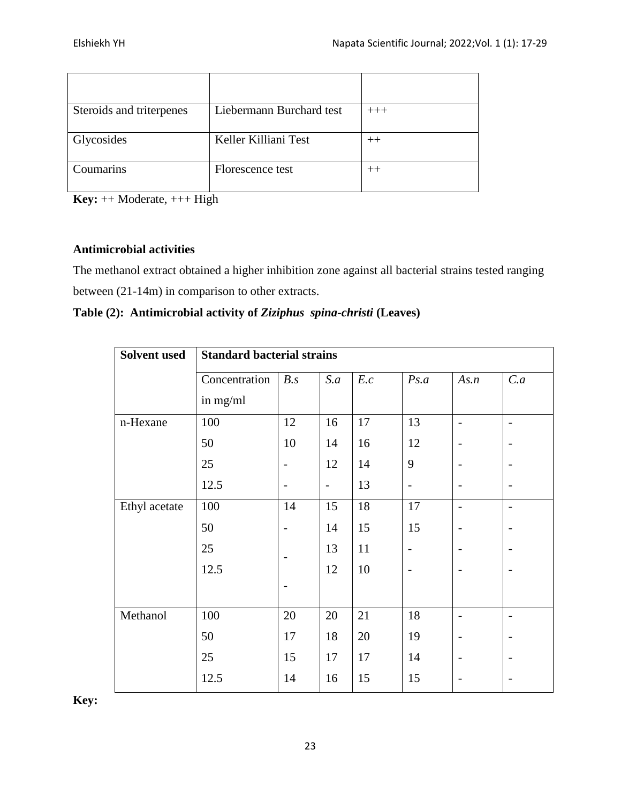| Steroids and triterpenes | Liebermann Burchard test | $+++$ |
|--------------------------|--------------------------|-------|
| Glycosides               | Keller Killiani Test     | $++$  |
| Coumarins                | Florescence test         | $++$  |

**Key:** ++ Moderate, +++ High

# **Antimicrobial activities**

The methanol extract obtained a higher inhibition zone against all bacterial strains tested ranging between (21-14m) in comparison to other extracts.

| Table (2): Antimicrobial activity of Ziziphus spina-christi (Leaves) |  |  |
|----------------------------------------------------------------------|--|--|
|                                                                      |  |  |

| <b>Solvent used</b> | <b>Standard bacterial strains</b> |                          |                          |     |                              |                          |                          |
|---------------------|-----------------------------------|--------------------------|--------------------------|-----|------------------------------|--------------------------|--------------------------|
|                     | Concentration                     | B.s                      | S.a                      | E.c | Ps.a                         | As.n                     | C.a                      |
|                     | in mg/ml                          |                          |                          |     |                              |                          |                          |
| n-Hexane            | 100                               | 12                       | 16                       | 17  | 13                           | $\overline{\phantom{0}}$ | $\overline{\phantom{0}}$ |
|                     | 50                                | 10                       | 14                       | 16  | 12                           | $\overline{\phantom{a}}$ | $\overline{\phantom{0}}$ |
|                     | 25                                | -                        | 12                       | 14  | 9                            |                          |                          |
|                     | 12.5                              | -                        | $\overline{\phantom{a}}$ | 13  | $\qquad \qquad \blacksquare$ |                          | $\overline{a}$           |
| Ethyl acetate       | 100                               | 14                       | 15                       | 18  | 17                           | $\overline{\phantom{0}}$ | $\overline{\phantom{a}}$ |
|                     | 50                                | $\overline{\phantom{0}}$ | 14                       | 15  | 15                           |                          | $\overline{a}$           |
|                     | 25                                |                          | 13                       | 11  | $\qquad \qquad -$            |                          |                          |
|                     | 12.5                              |                          | 12                       | 10  | $\overline{\phantom{a}}$     |                          | $\overline{a}$           |
|                     |                                   |                          |                          |     |                              |                          |                          |
| Methanol            | 100                               | 20                       | 20                       | 21  | 18                           | $\overline{\phantom{a}}$ | $\overline{\phantom{0}}$ |
|                     | 50                                | 17                       | 18                       | 20  | 19                           |                          |                          |
|                     | 25                                | 15                       | 17                       | 17  | 14                           |                          | $\overline{\phantom{0}}$ |
|                     | 12.5                              | 14                       | 16                       | 15  | 15                           |                          |                          |

**Key:**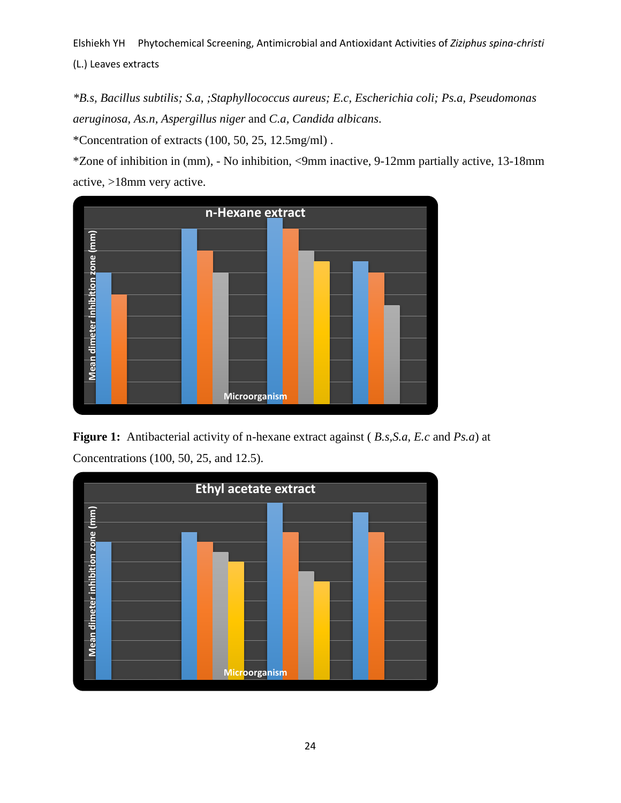*\*B.s, Bacillus subtilis; S.a, ;Staphyllococcus aureus; E.c, Escherichia coli; Ps.a, Pseudomonas aeruginosa, As.n, Aspergillus niger* and *C.a, Candida albicans*. \*Concentration of extracts (100, 50, 25, 12.5mg/ml) .

\*Zone of inhibition in (mm), - No inhibition, <9mm inactive, 9-12mm partially active, 13-18mm active, >18mm very active.



**Figure 1:** Antibacterial activity of n-hexane extract against ( *B.s,S.a, E.c* and *Ps.a*) at

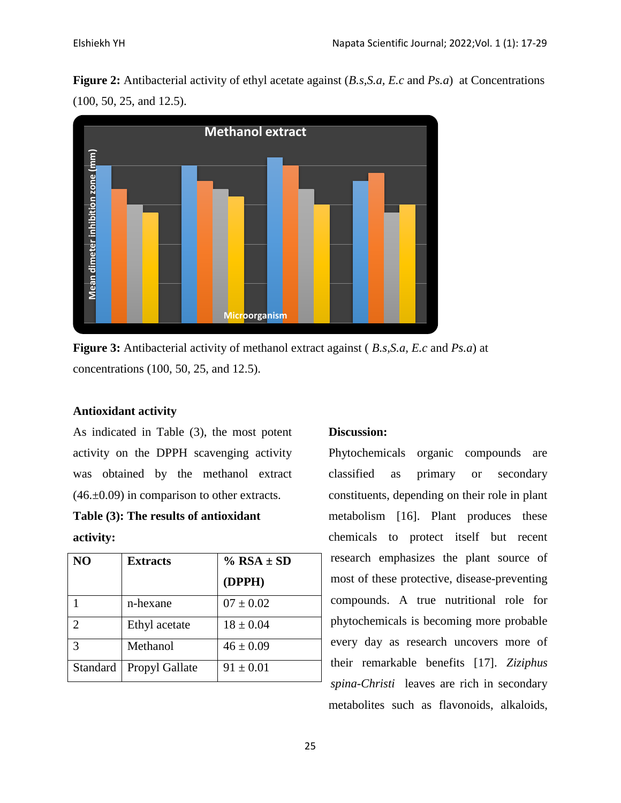**Figure 2:** Antibacterial activity of ethyl acetate against (*B.s,S.a, E.c* and *Ps.a*) at Concentrations (100, 50, 25, and 12.5).



**Figure 3:** Antibacterial activity of methanol extract against ( *B.s,S.a, E.c* and *Ps.a*) at concentrations (100, 50, 25, and 12.5).

# **Antioxidant activity**

As indicated in Table (3), the most potent activity on the DPPH scavenging activity was obtained by the methanol extract  $(46. \pm 0.09)$  in comparison to other extracts.

# **Table (3): The results of antioxidant activity:**

| N <sub>O</sub>        | <b>Extracts</b> | $%$ RSA $\pm$ SD |  |
|-----------------------|-----------------|------------------|--|
|                       |                 | (DPPH)           |  |
|                       | n-hexane        | $07 \pm 0.02$    |  |
| $\mathcal{D}_{\cdot}$ | Ethyl acetate   | $18 \pm 0.04$    |  |
| 3                     | Methanol        | $46 \pm 0.09$    |  |
| Standard              | Propyl Gallate  | $91 \pm 0.01$    |  |

# **Discussion:**

Phytochemicals organic compounds are classified as primary or secondary constituents, depending on their role in plant metabolism [16]. Plant produces these chemicals to protect itself but recent research emphasizes the plant source of most of these protective, disease-preventing compounds. A true nutritional role for phytochemicals is becoming more probable every day as research uncovers more of their remarkable benefits [17]. *Ziziphus spina-Christi* leaves are rich in secondary metabolites such as flavonoids, alkaloids,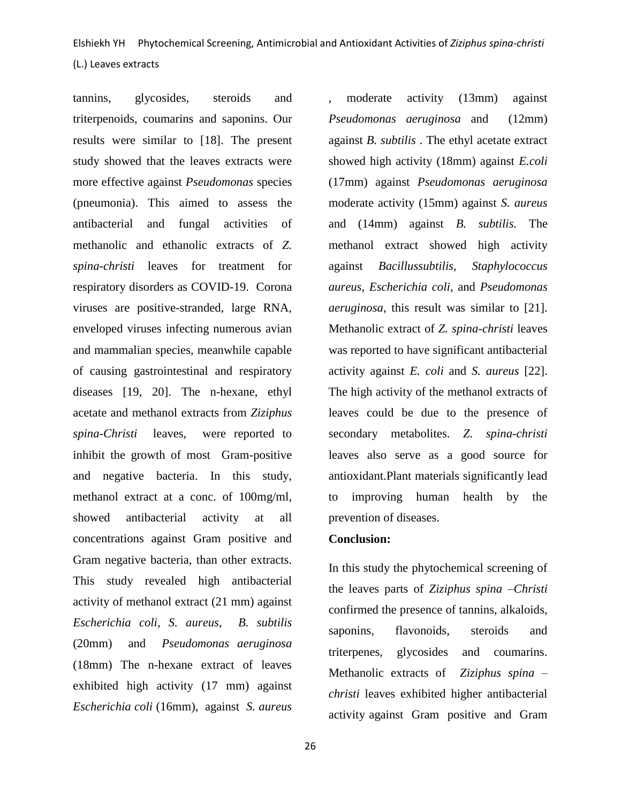tannins, glycosides, steroids and triterpenoids, coumarins and saponins. Our results were similar to [18]. The present study showed that the leaves extracts were more effective against *Pseudomonas* species (pneumonia). This aimed to assess the antibacterial and fungal activities of methanolic and ethanolic extracts of *Z. spina-christi* leaves for treatment for respiratory disorders as COVID-19. Corona viruses are positive-stranded, large RNA, enveloped viruses infecting numerous avian and mammalian species, meanwhile capable of causing gastrointestinal and respiratory diseases [19, 20]. The n-hexane, ethyl acetate and methanol extracts from *Ziziphus spina-Christi* leaves, were reported to inhibit the growth of most Gram-positive and negative bacteria. In this study, methanol extract at a conc. of 100mg/ml, showed antibacterial activity at all concentrations against Gram positive and Gram negative bacteria, than other extracts. This study revealed high antibacterial activity of methanol extract (21 mm) against *Escherichia coli, S. aureus, B. subtilis* (20mm) and *Pseudomonas aeruginosa* (18mm) The n-hexane extract of leaves exhibited high activity (17 mm) against *Escherichia coli* (16mm), against *S. aureus*

moderate activity (13mm) against *Pseudomonas aeruginosa* and (12mm) against *B. subtilis* . The ethyl acetate extract showed high activity (18mm) against *E.coli* (17mm) against *Pseudomonas aeruginosa* moderate activity (15mm) against *S. aureus* and (14mm) against *B. subtilis.* The methanol extract showed high activity against *Bacillussubtilis, Staphylococcus aureus, Escherichia coli*, and *Pseudomonas aeruginosa*, this result was similar to [21]. Methanolic extract of *Z. spina-christi* leaves was reported to have significant antibacterial activity against *E. coli* and *S. aureus* [22]. The high activity of the methanol extracts of leaves could be due to the presence of secondary metabolites. *Z. spina-christi*  leaves also serve as a good source for antioxidant.Plant materials significantly lead to improving human health by the prevention of diseases.

#### **Conclusion:**

In this study the phytochemical screening of the leaves parts of *Ziziphus spina –Christi*  confirmed the presence of tannins, alkaloids, saponins, flavonoids, steroids and triterpenes, glycosides and coumarins. Methanolic extracts of *Ziziphus spina – christi* leaves exhibited higher antibacterial activity against Gram positive and Gram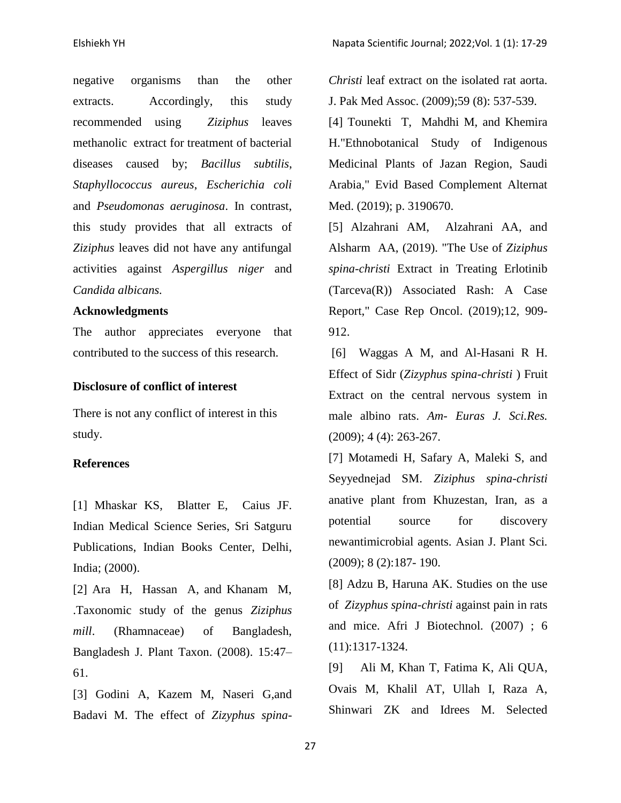negative organisms than the other extracts. Accordingly, this study recommended using *Ziziphus* leaves methanolic extract for treatment of bacterial diseases caused by; *Bacillus subtilis*, *Staphyllococcus aureus*, *Escherichia coli* and *Pseudomonas aeruginosa*. In contrast, this study provides that all extracts of *Ziziphus* leaves did not have any antifungal activities against *Aspergillus niger* and *Candida albicans.*

#### **Acknowledgments**

The author appreciates everyone that contributed to the success of this research.

#### **Disclosure of conflict of interest**

There is not any conflict of interest in this study.

#### **References**

[1] Mhaskar KS, Blatter E, Caius JF. Indian Medical Science Series, Sri Satguru Publications, Indian Books Center, Delhi, India; (2000).

[2] Ara H, Hassan A, and Khanam M, .Taxonomic study of the genus *Ziziphus mill*. (Rhamnaceae) of Bangladesh, Bangladesh J. Plant Taxon. (2008). 15:47– 61.

[3] Godini A, Kazem M, Naseri G,and Badavi M. The effect of *Zizyphus spina-* *Christi* leaf extract on the isolated rat aorta. J. Pak Med Assoc. (2009);59 (8): 537-539.

[4] Tounekti T, Mahdhi M, and Khemira H."Ethnobotanical Study of Indigenous Medicinal Plants of Jazan Region, Saudi Arabia," Evid Based Complement Alternat Med. (2019); p. 3190670.

[5] Alzahrani AM, Alzahrani AA, and Alsharm AA, (2019). "The Use of *Ziziphus spina-christi* Extract in Treating Erlotinib (Tarceva(R)) Associated Rash: A Case Report," Case Rep Oncol. (2019);12, 909- 912.

[6] Waggas A M, and Al-Hasani R H. Effect of Sidr (*Zizyphus spina-christi* ) Fruit Extract on the central nervous system in male albino rats. *Am- Euras J. Sci.Res.* (2009); 4 (4): 263-267.

[7] Motamedi H, Safary A, Maleki S, and Seyyednejad SM. *Ziziphus spina-christi*  anative plant from Khuzestan, Iran, as a potential source for discovery newantimicrobial agents. Asian J. Plant Sci*.*  (2009); 8 (2):187- 190.

[8] Adzu B, Haruna AK. Studies on the use of *Zizyphus spina-christi* against pain in rats and mice. Afri J Biotechnol*.* (2007) ; 6 (11):1317-1324.

[9] Ali M, Khan T, Fatima K, Ali QUA, Ovais M, Khalil AT, Ullah I, Raza A, Shinwari ZK and Idrees M. Selected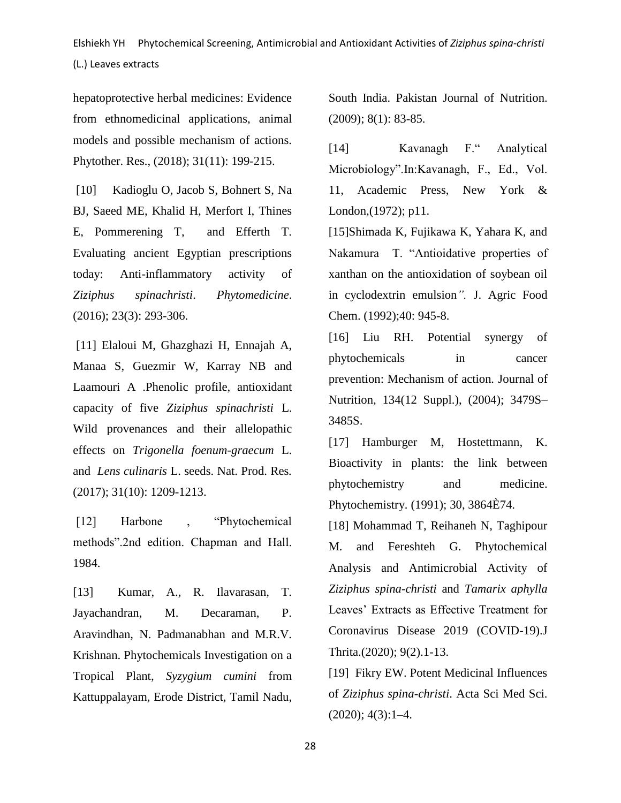hepatoprotective herbal medicines: Evidence from ethnomedicinal applications, animal models and possible mechanism of actions. Phytother. Res., (2018); 31(11): 199-215.

[10] Kadioglu O, Jacob S, Bohnert S, Na BJ, Saeed ME, Khalid H, Merfort I, Thines E, Pommerening T, and Efferth T. Evaluating ancient Egyptian prescriptions today: Anti-inflammatory activity of *Ziziphus spinachristi*. *Phytomedicine*. (2016); 23(3): 293-306.

[11] Elaloui M, Ghazghazi H, Ennajah A, Manaa S, Guezmir W, Karray NB and Laamouri A .Phenolic profile, antioxidant capacity of five *Ziziphus spinachristi* L. Wild provenances and their allelopathic effects on *Trigonella foenum-graecum* L. and *Lens culinaris* L. seeds. Nat. Prod. Res*.*  (2017); 31(10): 1209-1213.

[12] Harbone , "Phytochemical methods".2nd edition. Chapman and Hall. 1984.

[13] Kumar, A., R. Ilavarasan, T. Jayachandran, M. Decaraman, P. Aravindhan, N. Padmanabhan and M.R.V. Krishnan. Phytochemicals Investigation on a Tropical Plant, *Syzygium cumini* from Kattuppalayam, Erode District, Tamil Nadu, South India. Pakistan Journal of Nutrition. (2009); 8(1): 83-85.

[14] Kavanagh F." Analytical Microbiology".In:Kavanagh, F., Ed., Vol. 11, Academic Press, New York & London,(1972); p11.

[15]Shimada K, Fujikawa K, Yahara K, and Nakamura T. "Antioidative properties of xanthan on the antioxidation of soybean oil in cyclodextrin emulsion*".* J. Agric Food Chem. (1992);40: 945-8.

[16] Liu RH. Potential synergy of phytochemicals in cancer prevention: Mechanism of action*.* Journal of Nutrition, 134(12 Suppl.), (2004); 3479S– 3485S.

[17] Hamburger M, Hostettmann, K. Bioactivity in plants: the link between phytochemistry and medicine. Phytochemistry*.* (1991); 30, 3864È74.

[18] Mohammad T, Reihaneh N, Taghipour M. and Fereshteh G. Phytochemical Analysis and Antimicrobial Activity of *Ziziphus spina-christi* and *Tamarix aphylla*  Leaves' Extracts as Effective Treatment for Coronavirus Disease 2019 (COVID-19).J Thrita.(2020); 9(2).1-13.

[19] Fikry EW. Potent Medicinal Influences of *Ziziphus spina-christi*. Acta Sci Med Sci.  $(2020); 4(3): 1-4.$